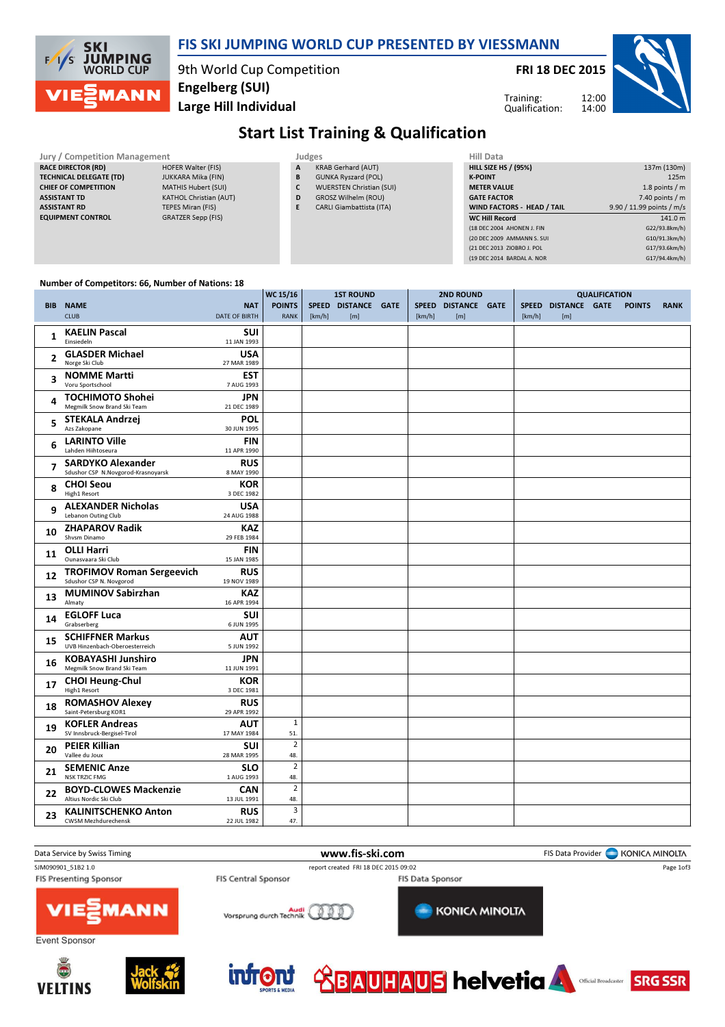

### FIS SKI JUMPING WORLD CUP PRESENTED BY VIESSMANN

9th World Cup Competition Large Hill Individual Engelberg (SUI)

FRI 18 DEC 2015



Training: Qualification:

# Start List Training & Qualification

Jury / Competition Management Judges<br>
RACE DIRECTOR (RD) HOFER Walter (FIS) A KR RACE DIRECTOR (RD)

TECHNICAL DELEGATE (TD) JUKKARA Mika (FIN) CHIEF OF COMPETITION MATHIS Hubert (SUI) ASSISTANT TD KATHOL Christian (AUT) ASSISTANT RD TEPES Miran (FIS) EQUIPMENT CONTROL GRATZER Sepp (FIS)

- KRAB Gerhard (AUT)
- B GUNKA Ryszard (POL)
- C WUERSTEN Christian (SUI)
- D GROSZ Wilhelm (ROU) E CARLI Giambattista (ITA)

| 137m (130m)               |
|---------------------------|
| 125m                      |
| 1.8 points $/m$           |
| 7.40 points / m           |
| 9.90 / 11.99 points / m/s |
| 141.0 m                   |
| G22/93.8km/h)             |
| G10/91.3km/h)             |
| G17/93.6km/h)             |
| G17/94.4km/h)             |
|                           |

12:00

#### Number of Competitors: 66, Number of Nations: 18

|              |                                                           |                           | WC 15/16       | <b>1ST ROUND</b> |                     |  | <b>2ND ROUND</b> | <b>QUALIFICATION</b> |        |                     |  |               |             |
|--------------|-----------------------------------------------------------|---------------------------|----------------|------------------|---------------------|--|------------------|----------------------|--------|---------------------|--|---------------|-------------|
|              | <b>BIB NAME</b>                                           | <b>NAT</b>                | <b>POINTS</b>  |                  | SPEED DISTANCE GATE |  |                  | SPEED DISTANCE GATE  |        | SPEED DISTANCE GATE |  | <b>POINTS</b> | <b>RANK</b> |
|              | <b>CLUB</b>                                               | <b>DATE OF BIRTH</b>      | <b>RANK</b>    | [km/h]           | [m]                 |  | [km/h]           | [m]                  | [km/h] | [m]                 |  |               |             |
|              |                                                           |                           |                |                  |                     |  |                  |                      |        |                     |  |               |             |
| $\mathbf{1}$ | <b>KAELIN Pascal</b><br>Einsiedeln                        | <b>SUI</b><br>11 JAN 1993 |                |                  |                     |  |                  |                      |        |                     |  |               |             |
|              |                                                           |                           |                |                  |                     |  |                  |                      |        |                     |  |               |             |
| 2            | <b>GLASDER Michael</b><br>Norge Ski Club                  | <b>USA</b><br>27 MAR 1989 |                |                  |                     |  |                  |                      |        |                     |  |               |             |
|              |                                                           |                           |                |                  |                     |  |                  |                      |        |                     |  |               |             |
| 3            | <b>NOMME Martti</b><br>Voru Sportschool                   | <b>EST</b>                |                |                  |                     |  |                  |                      |        |                     |  |               |             |
|              |                                                           | 7 AUG 1993                |                |                  |                     |  |                  |                      |        |                     |  |               |             |
| 4            | <b>TOCHIMOTO Shohei</b>                                   | <b>JPN</b>                |                |                  |                     |  |                  |                      |        |                     |  |               |             |
|              | Megmilk Snow Brand Ski Team                               | 21 DEC 1989               |                |                  |                     |  |                  |                      |        |                     |  |               |             |
| 5            | <b>STEKALA Andrzej</b>                                    | POL                       |                |                  |                     |  |                  |                      |        |                     |  |               |             |
|              | Azs Zakopane                                              | 30 JUN 1995               |                |                  |                     |  |                  |                      |        |                     |  |               |             |
| 6            | <b>LARINTO Ville</b>                                      | <b>FIN</b>                |                |                  |                     |  |                  |                      |        |                     |  |               |             |
|              | Lahden Hiihtoseura                                        | 11 APR 1990               |                |                  |                     |  |                  |                      |        |                     |  |               |             |
| 7            | <b>SARDYKO Alexander</b>                                  | <b>RUS</b>                |                |                  |                     |  |                  |                      |        |                     |  |               |             |
|              | Sdushor CSP N.Novgorod-Krasnoyarsk                        | 8 MAY 1990                |                |                  |                     |  |                  |                      |        |                     |  |               |             |
| 8            | <b>CHOI Seou</b>                                          | <b>KOR</b>                |                |                  |                     |  |                  |                      |        |                     |  |               |             |
|              | High1 Resort                                              | 3 DEC 1982                |                |                  |                     |  |                  |                      |        |                     |  |               |             |
| 9            | <b>ALEXANDER Nicholas</b>                                 | USA                       |                |                  |                     |  |                  |                      |        |                     |  |               |             |
|              | Lebanon Outing Club                                       | 24 AUG 1988               |                |                  |                     |  |                  |                      |        |                     |  |               |             |
|              | <b>ZHAPAROV Radik</b>                                     | <b>KAZ</b>                |                |                  |                     |  |                  |                      |        |                     |  |               |             |
| 10           | Shysm Dinamo                                              | 29 FEB 1984               |                |                  |                     |  |                  |                      |        |                     |  |               |             |
|              | <b>OLLI Harri</b>                                         | <b>FIN</b>                |                |                  |                     |  |                  |                      |        |                     |  |               |             |
| 11           | Ounasvaara Ski Club                                       | 15 JAN 1985               |                |                  |                     |  |                  |                      |        |                     |  |               |             |
|              | <b>TROFIMOV Roman Sergeevich</b>                          | <b>RUS</b>                |                |                  |                     |  |                  |                      |        |                     |  |               |             |
| 12           | Sdushor CSP N. Novgorod                                   | 19 NOV 1989               |                |                  |                     |  |                  |                      |        |                     |  |               |             |
|              | <b>MUMINOV Sabirzhan</b>                                  | <b>KAZ</b>                |                |                  |                     |  |                  |                      |        |                     |  |               |             |
| 13           | Almaty                                                    | 16 APR 1994               |                |                  |                     |  |                  |                      |        |                     |  |               |             |
|              | <b>EGLOFF Luca</b>                                        | <b>SUI</b>                |                |                  |                     |  |                  |                      |        |                     |  |               |             |
| 14           | Grabserberg                                               | 6 JUN 1995                |                |                  |                     |  |                  |                      |        |                     |  |               |             |
|              |                                                           |                           |                |                  |                     |  |                  |                      |        |                     |  |               |             |
| 15           | <b>SCHIFFNER Markus</b><br>UVB Hinzenbach-Oberoesterreich | <b>AUT</b><br>5 JUN 1992  |                |                  |                     |  |                  |                      |        |                     |  |               |             |
|              |                                                           |                           |                |                  |                     |  |                  |                      |        |                     |  |               |             |
| 16           | <b>KOBAYASHI Junshiro</b><br>Megmilk Snow Brand Ski Team  | <b>JPN</b><br>11 JUN 1991 |                |                  |                     |  |                  |                      |        |                     |  |               |             |
|              |                                                           |                           |                |                  |                     |  |                  |                      |        |                     |  |               |             |
| 17           | <b>CHOI Heung-Chul</b>                                    | KOR<br>3 DEC 1981         |                |                  |                     |  |                  |                      |        |                     |  |               |             |
|              | High1 Resort                                              |                           |                |                  |                     |  |                  |                      |        |                     |  |               |             |
| 18           | <b>ROMASHOV Alexey</b>                                    | <b>RUS</b>                |                |                  |                     |  |                  |                      |        |                     |  |               |             |
|              | Saint-Petersburg KOR1                                     | 29 APR 1992               |                |                  |                     |  |                  |                      |        |                     |  |               |             |
| 19           | <b>KOFLER Andreas</b>                                     | AUT                       | $\mathbf 1$    |                  |                     |  |                  |                      |        |                     |  |               |             |
|              | SV Innsbruck-Bergisel-Tirol                               | 17 MAY 1984               | 51.            |                  |                     |  |                  |                      |        |                     |  |               |             |
| 20           | <b>PEIER Killian</b>                                      | SUI                       | $\overline{2}$ |                  |                     |  |                  |                      |        |                     |  |               |             |
|              | Vallee du Joux                                            | 28 MAR 1995               | 48.            |                  |                     |  |                  |                      |        |                     |  |               |             |
| 21           | <b>SEMENIC Anze</b>                                       | <b>SLO</b>                | $\overline{2}$ |                  |                     |  |                  |                      |        |                     |  |               |             |
|              | <b>NSK TRZIC FMG</b>                                      | 1 AUG 1993                | 48.            |                  |                     |  |                  |                      |        |                     |  |               |             |
| 22           | <b>BOYD-CLOWES Mackenzie</b>                              | <b>CAN</b>                | $\overline{2}$ |                  |                     |  |                  |                      |        |                     |  |               |             |
|              | Altius Nordic Ski Club                                    | 13 JUL 1991               | 48.            |                  |                     |  |                  |                      |        |                     |  |               |             |
| 23           | <b>KALINITSCHENKO Anton</b>                               | <b>RUS</b>                | 3              |                  |                     |  |                  |                      |        |                     |  |               |             |
|              | <b>CWSM Mezhdurechensk</b>                                | 22 JUL 1982               | 47.            |                  |                     |  |                  |                      |        |                     |  |               |             |









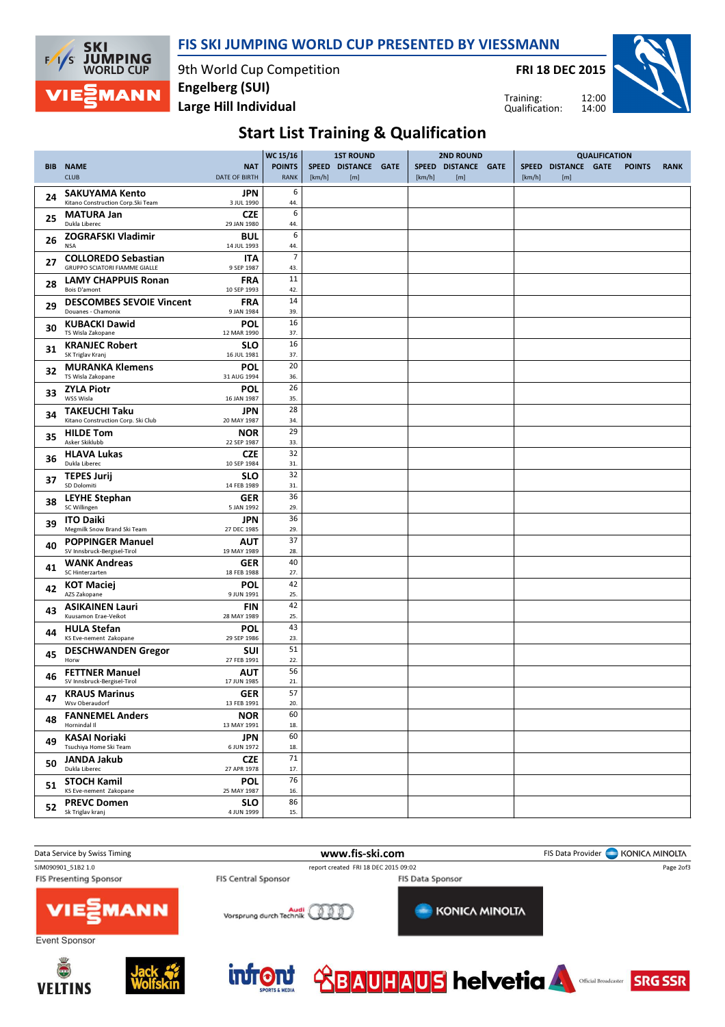FIS SKI JUMPING WORLD CUP PRESENTED BY VIESSMANN



9th World Cup Competition Large Hill Individual Engelberg (SUI)

FRI 18 DEC 2015

Training: Qualification:



## Start List Training & Qualification

|    |                                                      |                           | <b>WC 15/16</b> | <b>1ST ROUND</b> |                     | <b>2ND ROUND</b> |        |                     | <b>QUALIFICATION</b> |              |               |  |               |             |
|----|------------------------------------------------------|---------------------------|-----------------|------------------|---------------------|------------------|--------|---------------------|----------------------|--------------|---------------|--|---------------|-------------|
|    | <b>BIB NAME</b>                                      | <b>NAT</b>                | <b>POINTS</b>   |                  | SPEED DISTANCE GATE |                  |        | SPEED DISTANCE GATE |                      | <b>SPEED</b> | DISTANCE GATE |  | <b>POINTS</b> | <b>RANK</b> |
|    | <b>CLUB</b>                                          | <b>DATE OF BIRTH</b>      | <b>RANK</b>     | [km/h]           | [m]                 |                  | [km/h] | [m]                 |                      | [km/h]       | [m]           |  |               |             |
| 24 | <b>SAKUYAMA Kento</b>                                | JPN                       | 6               |                  |                     |                  |        |                     |                      |              |               |  |               |             |
|    | Kitano Construction Corp.Ski Team                    | 3 JUL 1990                | 44.             |                  |                     |                  |        |                     |                      |              |               |  |               |             |
| 25 | <b>MATURA Jan</b><br>Dukla Liberec                   | <b>CZE</b><br>29 JAN 1980 | 6<br>44.        |                  |                     |                  |        |                     |                      |              |               |  |               |             |
|    | <b>ZOGRAFSKI Vladimir</b>                            | BUL                       | 6               |                  |                     |                  |        |                     |                      |              |               |  |               |             |
| 26 | <b>NSA</b>                                           | 14 JUL 1993               | 44.             |                  |                     |                  |        |                     |                      |              |               |  |               |             |
| 27 | <b>COLLOREDO Sebastian</b>                           | ITA                       | $\overline{7}$  |                  |                     |                  |        |                     |                      |              |               |  |               |             |
|    | <b>GRUPPO SCIATORI FIAMME GIALLE</b>                 | 9 SEP 1987                | 43.<br>11       |                  |                     |                  |        |                     |                      |              |               |  |               |             |
| 28 | <b>LAMY CHAPPUIS Ronan</b><br>Bois D'amont           | <b>FRA</b><br>10 SEP 1993 | 42.             |                  |                     |                  |        |                     |                      |              |               |  |               |             |
| 29 | <b>DESCOMBES SEVOIE Vincent</b>                      | <b>FRA</b>                | 14              |                  |                     |                  |        |                     |                      |              |               |  |               |             |
|    | Douanes - Chamonix                                   | 9 JAN 1984                | 39.             |                  |                     |                  |        |                     |                      |              |               |  |               |             |
| 30 | <b>KUBACKI Dawid</b><br>TS Wisla Zakopane            | POL<br>12 MAR 1990        | 16<br>37.       |                  |                     |                  |        |                     |                      |              |               |  |               |             |
|    | <b>KRANJEC Robert</b>                                | <b>SLO</b>                | 16              |                  |                     |                  |        |                     |                      |              |               |  |               |             |
| 31 | SK Triglav Kranj                                     | 16 JUL 1981               | 37.             |                  |                     |                  |        |                     |                      |              |               |  |               |             |
| 32 | <b>MURANKA Klemens</b><br>TS Wisla Zakopane          | POL                       | 20              |                  |                     |                  |        |                     |                      |              |               |  |               |             |
|    |                                                      | 31 AUG 1994<br>POL        | 36.<br>26       |                  |                     |                  |        |                     |                      |              |               |  |               |             |
| 33 | <b>ZYLA Piotr</b><br>WSS Wisla                       | 16 JAN 1987               | 35.             |                  |                     |                  |        |                     |                      |              |               |  |               |             |
| 34 | <b>TAKEUCHI Taku</b>                                 | JPN                       | 28              |                  |                     |                  |        |                     |                      |              |               |  |               |             |
|    | Kitano Construction Corp. Ski Club                   | 20 MAY 1987               | 34.<br>29       |                  |                     |                  |        |                     |                      |              |               |  |               |             |
| 35 | <b>HILDE Tom</b><br>Asker Skiklubb                   | <b>NOR</b><br>22 SEP 1987 | 33.             |                  |                     |                  |        |                     |                      |              |               |  |               |             |
| 36 | <b>HLAVA Lukas</b>                                   | <b>CZE</b>                | 32              |                  |                     |                  |        |                     |                      |              |               |  |               |             |
|    | Dukla Liberec                                        | 10 SEP 1984               | 31.             |                  |                     |                  |        |                     |                      |              |               |  |               |             |
| 37 | <b>TEPES Jurij</b><br>SD Dolomiti                    | <b>SLO</b><br>14 FEB 1989 | 32<br>31.       |                  |                     |                  |        |                     |                      |              |               |  |               |             |
| 38 | <b>LEYHE Stephan</b>                                 | <b>GER</b>                | 36              |                  |                     |                  |        |                     |                      |              |               |  |               |             |
|    | SC Willingen                                         | 5 JAN 1992                | 29.             |                  |                     |                  |        |                     |                      |              |               |  |               |             |
| 39 | <b>ITO Daiki</b><br>Megmilk Snow Brand Ski Team      | <b>JPN</b><br>27 DEC 1985 | 36<br>29.       |                  |                     |                  |        |                     |                      |              |               |  |               |             |
|    | <b>POPPINGER Manuel</b>                              | <b>AUT</b>                | 37              |                  |                     |                  |        |                     |                      |              |               |  |               |             |
| 40 | SV Innsbruck-Bergisel-Tirol                          | 19 MAY 1989               | 28.             |                  |                     |                  |        |                     |                      |              |               |  |               |             |
| 41 | <b>WANK Andreas</b><br>SC Hinterzarten               | <b>GER</b><br>18 FEB 1988 | 40<br>27.       |                  |                     |                  |        |                     |                      |              |               |  |               |             |
|    | <b>KOT Maciej</b>                                    | <b>POL</b>                | 42              |                  |                     |                  |        |                     |                      |              |               |  |               |             |
| 42 | AZS Zakopane                                         | 9 JUN 1991                | 25.             |                  |                     |                  |        |                     |                      |              |               |  |               |             |
| 43 | <b>ASIKAINEN Lauri</b>                               | <b>FIN</b>                | 42              |                  |                     |                  |        |                     |                      |              |               |  |               |             |
|    | Kuusamon Erae-Veikot                                 | 28 MAY 1989<br><b>POL</b> | 25.<br>43       |                  |                     |                  |        |                     |                      |              |               |  |               |             |
| 44 | <b>HULA Stefan</b><br>KS Eve-nement Zakopane         | 29 SEP 1986               | 23.             |                  |                     |                  |        |                     |                      |              |               |  |               |             |
| 45 | <b>DESCHWANDEN Gregor</b>                            | <b>SUI</b>                | 51              |                  |                     |                  |        |                     |                      |              |               |  |               |             |
|    | Horw                                                 | 27 FEB 1991               | 22.             |                  |                     |                  |        |                     |                      |              |               |  |               |             |
| 46 | <b>FETTNER Manuel</b><br>SV Innsbruck-Bergisel-Tirol | AUT<br>17 JUN 1985        | 56<br>21.       |                  |                     |                  |        |                     |                      |              |               |  |               |             |
| 47 | <b>KRAUS Marinus</b>                                 | <b>GER</b>                | 57              |                  |                     |                  |        |                     |                      |              |               |  |               |             |
|    | Wsv Oberaudorf                                       | 13 FEB 1991               | 20.             |                  |                     |                  |        |                     |                      |              |               |  |               |             |
| 48 | <b>FANNEMEL Anders</b><br>Hornindal II               | <b>NOR</b><br>13 MAY 1991 | 60<br>18.       |                  |                     |                  |        |                     |                      |              |               |  |               |             |
| 49 | <b>KASAI Noriaki</b>                                 | <b>JPN</b>                | 60              |                  |                     |                  |        |                     |                      |              |               |  |               |             |
|    | Tsuchiya Home Ski Team                               | 6 JUN 1972                | 18.             |                  |                     |                  |        |                     |                      |              |               |  |               |             |
| 50 | <b>JANDA Jakub</b><br>Dukla Liberec                  | <b>CZE</b><br>27 APR 1978 | 71<br>17.       |                  |                     |                  |        |                     |                      |              |               |  |               |             |
|    | <b>STOCH Kamil</b>                                   | <b>POL</b>                | 76              |                  |                     |                  |        |                     |                      |              |               |  |               |             |
| 51 | KS Eve-nement Zakopane                               | 25 MAY 1987               | 16.             |                  |                     |                  |        |                     |                      |              |               |  |               |             |
| 52 | <b>PREVC Domen</b>                                   | <b>SLO</b>                | 86              |                  |                     |                  |        |                     |                      |              |               |  |               |             |
|    | Sk Triglav kranj                                     | 4 JUN 1999                | 15.             |                  |                     |                  |        |                     |                      |              |               |  |               |             |